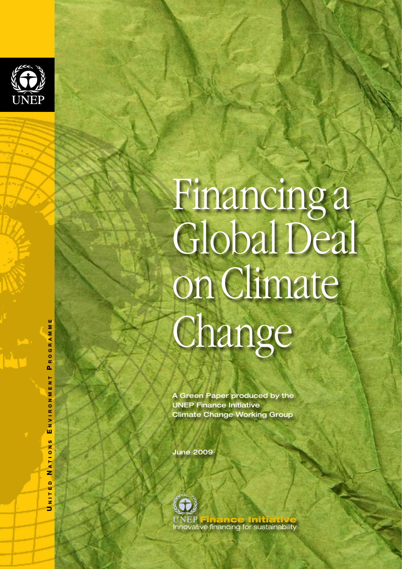

# Financing a<br>Global Deal on Climate Change

A Green Paper produced by the UNEP Finance Initiative Climate Change Working Group

June 2009



 n i t e d N a t i o n s E n v i r o n m e n t P r o g r a m m e ROGRAMM  $\mathbf{a}$ T N T Σ z  $\circ$  $\alpha$  $N$   $V$   $I$ ш ်<br>(၈ ATION  $\overline{z}$  $\overline{\phantom{a}}$ N.ITE ∍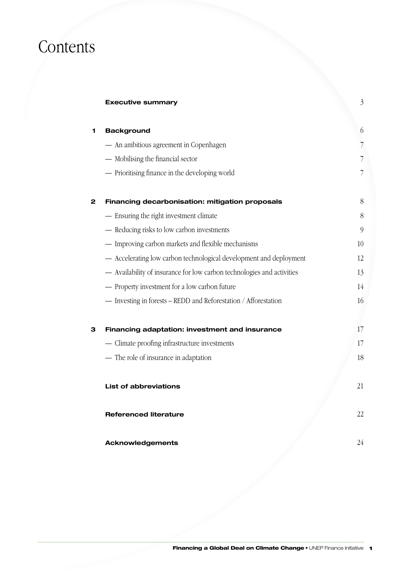# Contents

# **Executive summary** 3

| 1 | <b>Background</b>                                                      | $6\,$ |
|---|------------------------------------------------------------------------|-------|
|   | - An ambitious agreement in Copenhagen                                 | 7     |
|   | - Mobilising the financial sector                                      | 7     |
|   | - Prioritising finance in the developing world                         | 7     |
| 2 | Financing decarbonisation: mitigation proposals                        | 8     |
|   | - Ensuring the right investment climate                                | 8     |
|   | - Reducing risks to low carbon investments                             | 9     |
|   | - Improving carbon markets and flexible mechanisms                     | 10    |
|   | - Accelerating low carbon technological development and deployment     | 12    |
|   | - Availability of insurance for low carbon technologies and activities | 13    |
|   | - Property investment for a low carbon future                          | 14    |
|   | - Investing in forests - REDD and Reforestation / Afforestation        | 16    |
| з | Financing adaptation: investment and insurance                         | 17    |
|   | - Climate proofing infrastructure investments                          | 17    |
|   | - The role of insurance in adaptation                                  | 18    |
|   | <b>List of abbreviations</b>                                           | 21    |
|   | <b>Referenced literature</b>                                           | 22    |
|   | <b>Acknowledgements</b>                                                | 24    |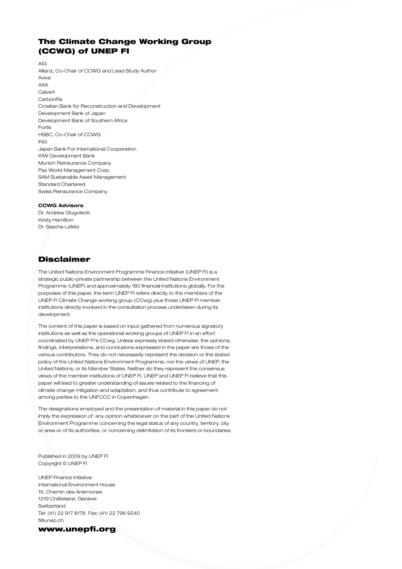# The Climate Change Working Group (CCWG) of UNEP FI

AIG

Allianz, Co-Chair of CCWG and Lead Study Author Aviva AXA Calvert **CarbonRe** Croatian Bank for Reconstruction and Development Development Bank of Japan Development Bank of Southern Africa Fortis HSBC, Co-Chair of CCWG ING Japan Bank For International Cooperation KfW Development Bank Munich Reinsurance Company Pax World Management Corp. SAM Sustainable Asset Management Standard Chartered Swiss Reinsurance Company

#### **CCWG Advisors**

Dr. Andrew Dlugolecki Kirsty Hamilton Dr. Sascha Lafeld

# Disclaimer

The United Nations Environment Programme Finance Initiative (UNEP FI) is a strategic public-private partnership between the United Nations Environment Programme (UNEP) and approximately 180 financial institutions globally. For the purposes of this paper, the term UNEP FI refers directly to the members of the UNEP FI Climate Change working group (CCwg) plus those UNEP FI member institutions directly involved in the consultation process undertaken during its development.

The content of this paper is based on input gathered from numerous signatory institutions as well as the operational working groups of UNEP FI in an effort coordinated by UNEP FI's CCwg. Unless expressly stated otherwise, the opinions, findings, interpretations, and conclusions expressed in the paper are those of the various contributors. They do not necessarily represent the decision or the stated policy of the United Nations Environment Programme, nor the views of UNEP, the United Nations, or its Member States. Neither do they represent the consensus views of the member institutions of UNEP FI. UNEP and UNEP FI believe that this paper will lead to greater understanding of issues related to the financing of climate change mitigation and adaptation, and thus contribute to agreement among parties to the UNFCCC in Copenhagen.

The designations employed and the presentation of material in this paper do not imply the expression of any opinion whatsoever on the part of the United Nations Environment Programme concerning the legal status of any country, territory, city or area or of its authorities, or concerning delimitation of its frontiers or boundaries.

Published in 2009 by UNEP FI Copyright © UNEP FI

UNEP Finance Initiative International Environment House 15, Chemin des Anémones 1219 Châtelaine, Genève Switzerland Tel: (41) 22 917 8178 Fax: (41) 22 796 9240 fi@unep.ch

www.unepfi.org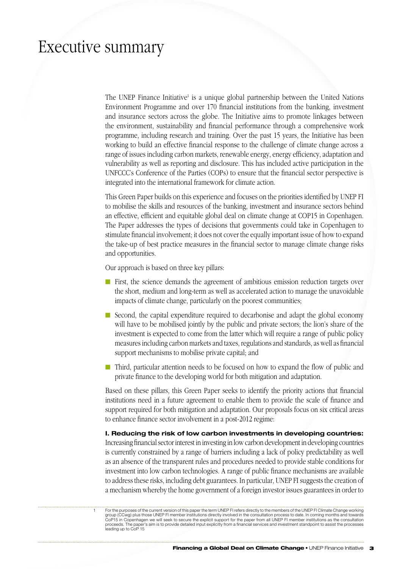# Executive summary

The UNEP Finance Initiative<sup>1</sup> is a unique global partnership between the United Nations Environment Programme and over 170 financial institutions from the banking, investment and insurance sectors across the globe. The Initiative aims to promote linkages between the environment, sustainability and financial performance through a comprehensive work programme, including research and training. Over the past 15 years, the Initiative has been working to build an effective financial response to the challenge of climate change across a range of issues including carbon markets, renewable energy, energy efficiency, adaptation and vulnerability as well as reporting and disclosure. This has included active participation in the UNFCCC's Conference of the Parties (COPs) to ensure that the financial sector perspective is integrated into the international framework for climate action.

This Green Paper builds on this experience and focuses on the priorities identified by UNEP FI to mobilise the skills and resources of the banking, investment and insurance sectors behind an effective, efficient and equitable global deal on climate change at COP15 in Copenhagen. The Paper addresses the types of decisions that governments could take in Copenhagen to stimulate financial involvement; it does not cover the equally important issue of how to expand the take-up of best practice measures in the financial sector to manage climate change risks and opportunities.

Our approach is based on three key pillars:

- **n** First, the science demands the agreement of ambitious emission reduction targets over the short, medium and long-term as well as accelerated action to manage the unavoidable impacts of climate change, particularly on the poorest communities;
- $\blacksquare$  Second, the capital expenditure required to decarbonise and adapt the global economy will have to be mobilised jointly by the public and private sectors; the lion's share of the investment is expected to come from the latter which will require a range of public policy measures including carbon markets and taxes, regulations and standards, as well as financial support mechanisms to mobilise private capital; and
- n Third, particular attention needs to be focused on how to expand the flow of public and private finance to the developing world for both mitigation and adaptation.

Based on these pillars, this Green Paper seeks to identify the priority actions that financial institutions need in a future agreement to enable them to provide the scale of finance and support required for both mitigation and adaptation. Our proposals focus on six critical areas to enhance finance sector involvement in a post-2012 regime:

**I. Reducing the risk of low carbon investments in developing countries:** Increasing financial sector interest in investing in low carbon development in developing countries is currently constrained by a range of barriers including a lack of policy predictability as well as an absence of the transparent rules and procedures needed to provide stable conditions for investment into low carbon technologies. A range of public finance mechanisms are available to address these risks, including debt guarantees. In particular, UNEP FI suggests the creation of a mechanism whereby the home government of a foreign investor issues guarantees in order to

For the purposes of the current version of this paper the term UNEP FI refers directly to the members of the UNEP FI Climate Change working<br>group (CCwg) plus those UNEP FI member institutions directly involved in the consu proceeds. The paper's aim is to provide detailed input explicitly from a financial services and investment standpoint to assist the processes leading up to CoP 15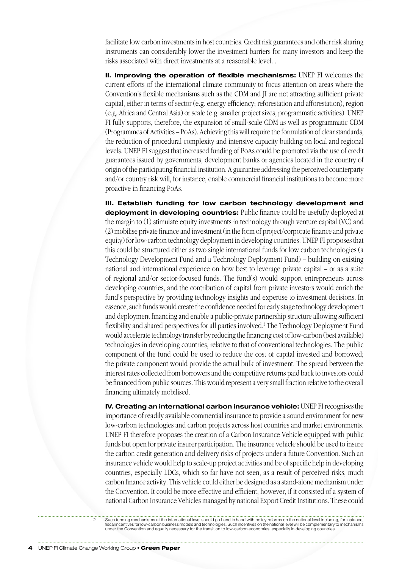facilitate low carbon investments in host countries. Credit risk guarantees and other risk sharing instruments can considerably lower the investment barriers for many investors and keep the risks associated with direct investments at a reasonable level. .

**II. Improving the operation of flexible mechanisms:** UNEP FI welcomes the current efforts of the international climate community to focus attention on areas where the Convention's flexible mechanisms such as the CDM and JI are not attracting sufficient private capital, either in terms of sector (e.g. energy efficiency; reforestation and afforestation), region (e.g. Africa and Central Asia) or scale (e.g. smaller project sizes, programmatic activities). UNEP FI fully supports, therefore, the expansion of small-scale CDM as well as programmatic CDM (Programmes of Activities – PoAs). Achieving this will require the formulation of clear standards, the reduction of procedural complexity and intensive capacity building on local and regional levels. UNEP FI suggest that increased funding of PoAs could be promoted via the use of credit guarantees issued by governments, development banks or agencies located in the country of origin of the participating financial institution. A guarantee addressing the perceived counterparty and/or country risk will, for instance, enable commercial financial institutions to become more proactive in financing PoAs.

**III. Establish funding for low carbon technology development and deployment in developing countries:** Public finance could be usefully deployed at the margin to (1) stimulate equity investments in technology through venture capital (VC) and (2) mobilise private finance and investment (in the form of project/corporate finance and private equity) for low-carbon technology deployment in developing countries. UNEP FI proposes that this could be structured either as two single international funds for low carbon technologies (a Technology Development Fund and a Technology Deployment Fund) – building on existing national and international experience on how best to leverage private capital – or as a suite of regional and/or sector-focused funds. The fund(s) would support entrepreneurs across developing countries, and the contribution of capital from private investors would enrich the fund's perspective by providing technology insights and expertise to investment decisions. In essence, such funds would create the confidence needed for early stage technology development and deployment financing and enable a public-private partnership structure allowing sufficient flexibility and shared perspectives for all parties involved.<sup>2</sup> The Technology Deployment Fund would accelerate technology transfer by reducing the financing cost of low-carbon (best available) technologies in developing countries, relative to that of conventional technologies. The public component of the fund could be used to reduce the cost of capital invested and borrowed; the private component would provide the actual bulk of investment. The spread between the interest rates collected from borrowers and the competitive returns paid back to investors could be financed from public sources. This would represent a very small fraction relative to the overall financing ultimately mobilised.

**IV. Creating an international carbon insurance vehicle:** UNEP FI recognises the importance of readily available commercial insurance to provide a sound environment for new low-carbon technologies and carbon projects across host countries and market environments. UNEP FI therefore proposes the creation of a Carbon Insurance Vehicle equipped with public funds but open for private insurer participation. The insurance vehicle should be used to insure the carbon credit generation and delivery risks of projects under a future Convention. Such an insurance vehicle would help to scale-up project activities and be of specific help in developing countries, especially LDCs, which so far have not seen, as a result of perceived risks, much carbon finance activity. This vehicle could either be designed as a stand-alone mechanism under the Convention. It could be more effective and efficient, however, if it consisted of a system of national Carbon Insurance Vehicles managed by national Export Credit Institutions. These could

2 Such funding mechanisms at the international level should go hand in hand with policy reforms on the national level including, for instance, fiscal incentives for low-carbon business models and technologies. Such incentives on the national level will be complementary to mechanisms<br>under the Convention and equally necessary for the transition to low-carbon econo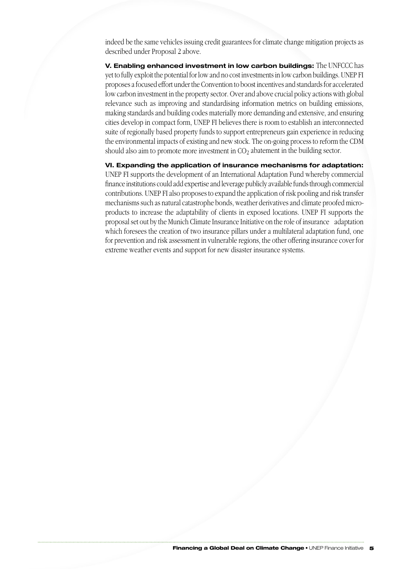indeed be the same vehicles issuing credit guarantees for climate change mitigation projects as described under Proposal 2 above.

**V. Enabling enhanced investment in low carbon buildings:** The UNFCCC has yet to fully exploit the potential for low and no cost investments in low carbon buildings. UNEP FI proposes a focused effort under the Convention to boost incentives and standards for accelerated low carbon investment in the property sector. Over and above crucial policy actions with global relevance such as improving and standardising information metrics on building emissions, making standards and building codes materially more demanding and extensive, and ensuring cities develop in compact form, UNEP FI believes there is room to establish an interconnected suite of regionally based property funds to support entrepreneurs gain experience in reducing the environmental impacts of existing and new stock. The on-going process to reform the CDM should also aim to promote more investment in  $CO<sub>2</sub>$  abatement in the building sector.

**VI. Expanding the application of insurance mechanisms for adaptation:**  UNEP FI supports the development of an International Adaptation Fund whereby commercial finance institutions could add expertise and leverage publicly available funds through commercial contributions. UNEP FI also proposes to expand the application of risk pooling and risk transfer mechanisms such as natural catastrophe bonds, weather derivatives and climate proofed microproducts to increase the adaptability of clients in exposed locations. UNEP FI supports the proposal set out by the Munich Climate Insurance Initiative on the role of insurance adaptation which foresees the creation of two insurance pillars under a multilateral adaptation fund, one for prevention and risk assessment in vulnerable regions, the other offering insurance cover for extreme weather events and support for new disaster insurance systems.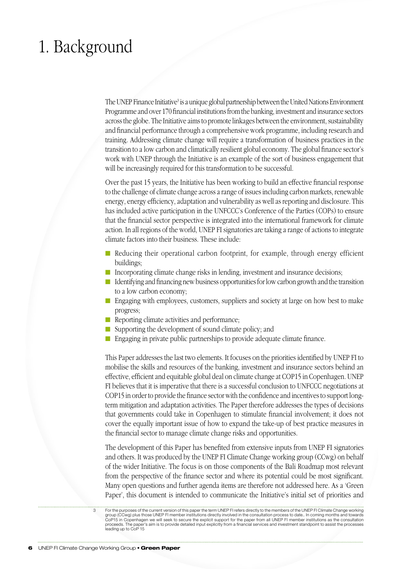# 1. Background

The UNEP Finance Initiative<sup>3</sup> is a unique global partnership between the United Nations Environment Programme and over 170 financial institutions from the banking, investment and insurance sectors across the globe. The Initiative aims to promote linkages between the environment, sustainability and financial performance through a comprehensive work programme, including research and training. Addressing climate change will require a transformation of business practices in the transition to a low carbon and climatically resilient global economy. The global finance sector's work with UNEP through the Initiative is an example of the sort of business engagement that will be increasingly required for this transformation to be successful.

Over the past 15 years, the Initiative has been working to build an effective financial response to the challenge of climate change across a range of issues including carbon markets, renewable energy, energy efficiency, adaptation and vulnerability as well as reporting and disclosure. This has included active participation in the UNFCCC's Conference of the Parties (COPs) to ensure that the financial sector perspective is integrated into the international framework for climate action. In all regions of the world, UNEP FI signatories are taking a range of actions to integrate climate factors into their business. These include:

- n Reducing their operational carbon footprint, for example, through energy efficient buildings;
- Incorporating climate change risks in lending, investment and insurance decisions;
- $\blacksquare$  Identifying and financing new business opportunities for low carbon growth and the transition to a low carbon economy;
- Engaging with employees, customers, suppliers and society at large on how best to make progress;
- $\blacksquare$  Reporting climate activities and performance;
- $\blacksquare$  Supporting the development of sound climate policy; and
- $\blacksquare$  Engaging in private public partnerships to provide adequate climate finance.

This Paper addresses the last two elements. It focuses on the priorities identified by UNEP FI to mobilise the skills and resources of the banking, investment and insurance sectors behind an effective, efficient and equitable global deal on climate change at COP15 in Copenhagen. UNEP FI believes that it is imperative that there is a successful conclusion to UNFCCC negotiations at COP15 in order to provide the finance sector with the confidence and incentives to support longterm mitigation and adaptation activities. The Paper therefore addresses the types of decisions that governments could take in Copenhagen to stimulate financial involvement; it does not cover the equally important issue of how to expand the take-up of best practice measures in the financial sector to manage climate change risks and opportunities.

The development of this Paper has benefited from extensive inputs from UNEP FI signatories and others. It was produced by the UNEP FI Climate Change working group (CCwg) on behalf of the wider Initiative. The focus is on those components of the Bali Roadmap most relevant from the perspective of the finance sector and where its potential could be most significant. Many open questions and further agenda items are therefore not addressed here. As a 'Green Paper', this document is intended to communicate the Initiative's initial set of priorities and

For the purposes of the current version of this paper the term UNEP FI refers directly to the members of the UNEP FI Climate Change working<br>group (CCwg) plus those UNEP FI member institutions directly involved in the consu proceeds. The paper's aim is to provide detailed input explicitly from a financial services and investment standpoint to assist the processes leading up to CoP 15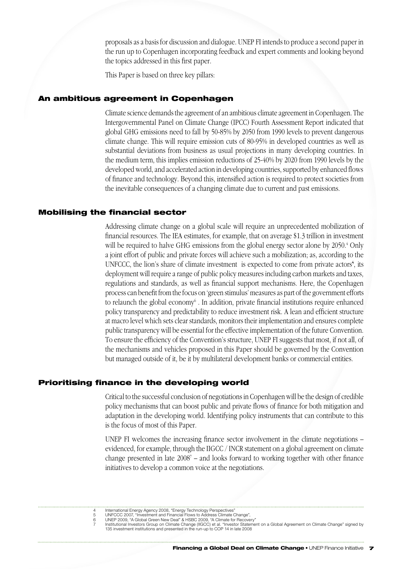proposals as a basis for discussion and dialogue. UNEP FI intends to produce a second paper in the run up to Copenhagen incorporating feedback and expert comments and looking beyond the topics addressed in this first paper.

This Paper is based on three key pillars:

#### An ambitious agreement in Copenhagen

Climate science demands the agreement of an ambitious climate agreement in Copenhagen. The Intergovernmental Panel on Climate Change (IPCC) Fourth Assessment Report indicated that global GHG emissions need to fall by 50-85% by 2050 from 1990 levels to prevent dangerous climate change. This will require emission cuts of 80-95% in developed countries as well as substantial deviations from business as usual projections in many developing countries. In the medium term, this implies emission reductions of 25-40% by 2020 from 1990 levels by the developed world, and accelerated action in developing countries, supported by enhanced flows of finance and technology. Beyond this, intensified action is required to protect societies from the inevitable consequences of a changing climate due to current and past emissions.

#### Mobilising the financial sector

Addressing climate change on a global scale will require an unprecedented mobilization of financial resources. The IEA estimates, for example, that on average \$1.3 trillion in investment will be required to halve GHG emissions from the global energy sector alone by 2050.<sup>4</sup> Only a joint effort of public and private forces will achieve such a mobilization; as, according to the UNFCCC, the lion's share of climate investment is expected to come from private actors<sup>5</sup>, its deployment will require a range of public policy measures including carbon markets and taxes, regulations and standards, as well as financial support mechanisms. Here, the Copenhagen process can benefit from the focus on 'green stimulus' measures as part of the government efforts to relaunch the global economy<sup>6</sup>. In addition, private financial institutions require enhanced policy transparency and predictability to reduce investment risk. A lean and efficient structure at macro level which sets clear standards, monitors their implementation and ensures complete public transparency will be essential for the effective implementation of the future Convention. To ensure the efficiency of the Convention's structure, UNEP FI suggests that most, if not all, of the mechanisms and vehicles proposed in this Paper should be governed by the Convention but managed outside of it, be it by multilateral development banks or commercial entities.

#### Prioritising finance in the developing world

Critical to the successful conclusion of negotiations in Copenhagen will be the design of credible policy mechanisms that can boost public and private flows of finance for both mitigation and adaptation in the developing world. Identifying policy instruments that can contribute to this is the focus of most of this Paper.

UNEP FI welcomes the increasing finance sector involvement in the climate negotiations – evidenced, for example, through the IIGCC / INCR statement on a global agreement on climate change presented in late 2008<sup>7</sup> – and looks forward to working together with other finance initiatives to develop a common voice at the negotiations.

<sup>4</sup> International Energy Agency 2008, "Energy Technology Perspectives" 5 UNFCCC 2007, "Investment and Financial Flows to Address Climate Change",

<sup>6</sup> UNEP 2009, "A Global Green New Deal" & HSBC 2009, "A Climate for Recovery"<br>18 Institutional Investors Group on Climate Change (IIGCC) et al. "Investor Statement on a Global Agreement on Climate Change" signed by<br>135 inve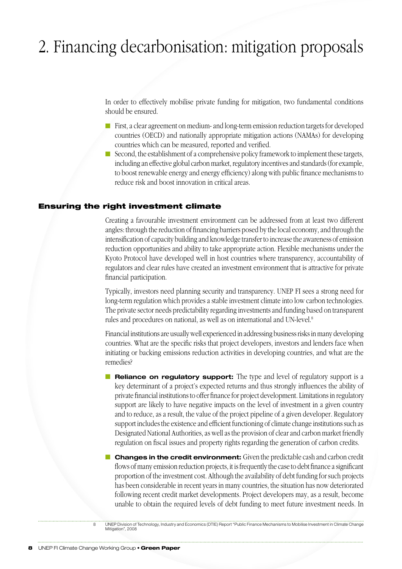# 2. Financing decarbonisation: mitigation proposals

In order to effectively mobilise private funding for mitigation, two fundamental conditions should be ensured.

- $\blacksquare$  First, a clear agreement on medium- and long-term emission reduction targets for developed countries (OECD) and nationally appropriate mitigation actions (NAMAs) for developing countries which can be measured, reported and verified.
- Second, the establishment of a comprehensive policy framework to implement these targets, including an effective global carbon market, regulatory incentives and standards (for example, to boost renewable energy and energy efficiency) along with public finance mechanisms to reduce risk and boost innovation in critical areas.

## Ensuring the right investment climate

Creating a favourable investment environment can be addressed from at least two different angles: through the reduction of financing barriers posed by the local economy, and through the intensification of capacity building and knowledge transfer to increase the awareness of emission reduction opportunities and ability to take appropriate action. Flexible mechanisms under the Kyoto Protocol have developed well in host countries where transparency, accountability of regulators and clear rules have created an investment environment that is attractive for private financial participation.

Typically, investors need planning security and transparency. UNEP FI sees a strong need for long-term regulation which provides a stable investment climate into low carbon technologies. The private sector needs predictability regarding investments and funding based on transparent rules and procedures on national, as well as on international and UN-level.8

Financial institutions are usually well experienced in addressing business risks in many developing countries. What are the specific risks that project developers, investors and lenders face when initiating or backing emissions reduction activities in developing countries, and what are the remedies?

- **n Reliance on regulatory support:** The type and level of regulatory support is a key determinant of a project's expected returns and thus strongly influences the ability of private financial institutions to offer finance for project development. Limitations in regulatory support are likely to have negative impacts on the level of investment in a given country and to reduce, as a result, the value of the project pipeline of a given developer. Regulatory support includes the existence and efficient functioning of climate change institutions such as Designated National Authorities, as well as the provision of clear and carbon market friendly regulation on fiscal issues and property rights regarding the generation of carbon credits.
- **n Changes in the credit environment:** Given the predictable cash and carbon credit flows of many emission reduction projects, it is frequently the case to debt finance a significant proportion of the investment cost. Although the availability of debt funding for such projects has been considerable in recent years in many countries, the situation has now deteriorated following recent credit market developments. Project developers may, as a result, become unable to obtain the required levels of debt funding to meet future investment needs. In

8 UNEP Division of Technology, Industry and Economics (DTIE) Report "Public Finance Mechanisms to Mobilise Investment in Climate Change Mitigation", 2008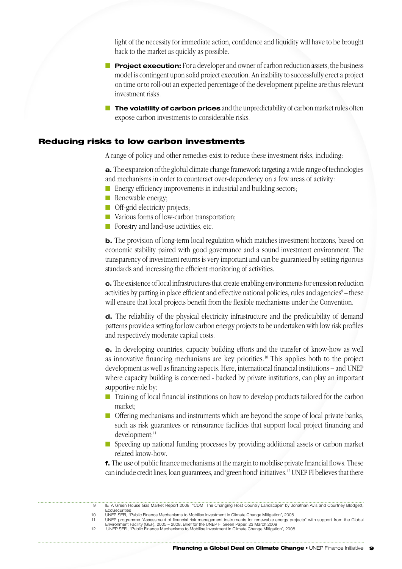light of the necessity for immediate action, confidence and liquidity will have to be brought back to the market as quickly as possible.

- **Project execution:** For a developer and owner of carbon reduction assets, the business model is contingent upon solid project execution. An inability to successfully erect a project on time or to roll-out an expected percentage of the development pipeline are thus relevant investment risks.
- **n The volatility of carbon prices** and the unpredictability of carbon market rules often expose carbon investments to considerable risks.

## Reducing risks to low carbon investments

A range of policy and other remedies exist to reduce these investment risks, including:

**a.** The expansion of the global climate change framework targeting a wide range of technologies and mechanisms in order to counteract over-dependency on a few areas of activity:

- $\blacksquare$  Energy efficiency improvements in industrial and building sectors;
- $\blacksquare$  Renewable energy;
- **n** Off-grid electricity projects;
- Various forms of low-carbon transportation;
- $\blacksquare$  Forestry and land-use activities, etc.

**b.** The provision of long-term local regulation which matches investment horizons, based on economic stability paired with good governance and a sound investment environment. The transparency of investment returns is very important and can be guaranteed by setting rigorous standards and increasing the efficient monitoring of activities.

**c.** The existence of local infrastructures that create enabling environments for emission reduction activities by putting in place efficient and effective national policies, rules and agencies<sup>9</sup> – these will ensure that local projects benefit from the flexible mechanisms under the Convention.

**d.** The reliability of the physical electricity infrastructure and the predictability of demand patterns provide a setting for low carbon energy projects to be undertaken with low risk profiles and respectively moderate capital costs.

**e.** In developing countries, capacity building efforts and the transfer of know-how as well as innovative financing mechanisms are key priorities.10 This applies both to the project development as well as financing aspects. Here, international financial institutions – and UNEP where capacity building is concerned - backed by private institutions, can play an important supportive role by:

- Training of local financial institutions on how to develop products tailored for the carbon market;
- **n** Offering mechanisms and instruments which are beyond the scope of local private banks, such as risk guarantees or reinsurance facilities that support local project financing and development:<sup>11</sup>
- Speeding up national funding processes by providing additional assets or carbon market related know-how.

**f.** The use of public finance mechanisms at the margin to mobilise private financial flows. These can include credit lines, loan guarantees, and 'green bond' initiatives.12 UNEP FI believes that there

<sup>9</sup> IETA Green House Gas Market Report 2008, "CDM: The Changing Host Country Landscape" by Jonathan Avis and Courtney Blodgett, EcoSecurities 10 UNEP SEFI, "Public Finance Mechanisms to Mobilise Investment in Climate Change Mitigation", 2008

UNEP programme "Assessment of financial risk management instruments for renewable energy projects" with support from the Global<br>Environment Facility (GEF), 2005 – 2008. Brief for the UNEP FI Green Paper, 23 March 2009<br>UNEP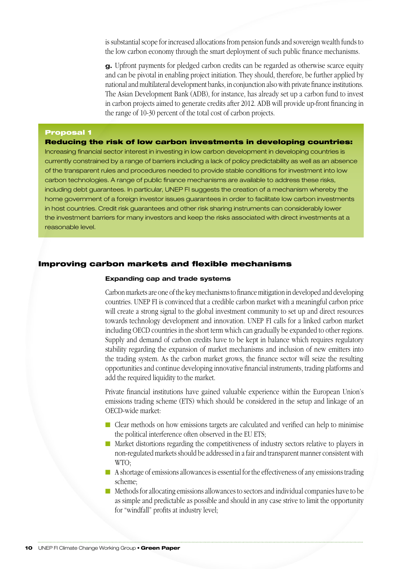is substantial scope for increased allocations from pension funds and sovereign wealth funds to the low carbon economy through the smart deployment of such public finance mechanisms.

**g.** Upfront payments for pledged carbon credits can be regarded as otherwise scarce equity and can be pivotal in enabling project initiation. They should, therefore, be further applied by national and multilateral development banks, in conjunction also with private finance institutions. The Asian Development Bank (ADB), for instance, has already set up a carbon fund to invest in carbon projects aimed to generate credits after 2012. ADB will provide up-front financing in the range of 10-30 percent of the total cost of carbon projects.

#### Proposal 1

Reducing the risk of low carbon investments in developing countries: Increasing financial sector interest in investing in low carbon development in developing countries is currently constrained by a range of barriers including a lack of policy predictability as well as an absence of the transparent rules and procedures needed to provide stable conditions for investment into low carbon technologies. A range of public finance mechanisms are available to address these risks, including debt guarantees. In particular, UNEP FI suggests the creation of a mechanism whereby the home government of a foreign investor issues guarantees in order to facilitate low carbon investments in host countries. Credit risk guarantees and other risk sharing instruments can considerably lower the investment barriers for many investors and keep the risks associated with direct investments at a reasonable level.

#### Improving carbon markets and flexible mechanisms

#### **Expanding cap and trade systems**

Carbon markets are one of the key mechanisms to finance mitigation in developed and developing countries. UNEP FI is convinced that a credible carbon market with a meaningful carbon price will create a strong signal to the global investment community to set up and direct resources towards technology development and innovation. UNEP FI calls for a linked carbon market including OECD countries in the short term which can gradually be expanded to other regions. Supply and demand of carbon credits have to be kept in balance which requires regulatory stability regarding the expansion of market mechanisms and inclusion of new emitters into the trading system. As the carbon market grows, the finance sector will seize the resulting opportunities and continue developing innovative financial instruments, trading platforms and add the required liquidity to the market.

Private financial institutions have gained valuable experience within the European Union's emissions trading scheme (ETS) which should be considered in the setup and linkage of an OECD-wide market:

- n Clear methods on how emissions targets are calculated and verified can help to minimise the political interference often observed in the EU ETS;
- n Market distortions regarding the competitiveness of industry sectors relative to players in non-regulated markets should be addressed in a fair and transparent manner consistent with WTO;
- $\blacksquare$  A shortage of emissions allowances is essential for the effectiveness of any emissions trading scheme;
- $\blacksquare$  Methods for allocating emissions allowances to sectors and individual companies have to be as simple and predictable as possible and should in any case strive to limit the opportunity for "windfall" profits at industry level;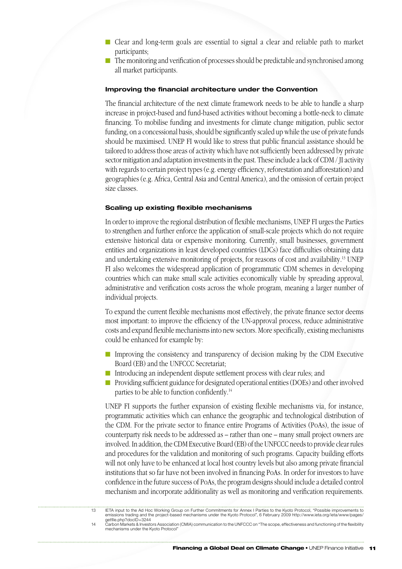- Clear and long-term goals are essential to signal a clear and reliable path to market participants;
- $\blacksquare$  The monitoring and verification of processes should be predictable and synchronised among all market participants.

#### **Improving the financial architecture under the Convention**

The financial architecture of the next climate framework needs to be able to handle a sharp increase in project-based and fund-based activities without becoming a bottle-neck to climate financing. To mobilise funding and investments for climate change mitigation, public sector funding, on a concessional basis, should be significantly scaled up while the use of private funds should be maximised. UNEP FI would like to stress that public financial assistance should be tailored to address those areas of activity which have not sufficiently been addressed by private sector mitigation and adaptation investments in the past. These include a lack of CDM / JI activity with regards to certain project types (e.g. energy efficiency, reforestation and afforestation) and geographies (e.g. Africa, Central Asia and Central America), and the omission of certain project size classes.

#### **Scaling up existing flexible mechanisms**

In order to improve the regional distribution of flexible mechanisms, UNEP FI urges the Parties to strengthen and further enforce the application of small-scale projects which do not require extensive historical data or expensive monitoring. Currently, small businesses, government entities and organizations in least developed countries (LDCs) face difficulties obtaining data and undertaking extensive monitoring of projects, for reasons of cost and availability.13 UNEP FI also welcomes the widespread application of programmatic CDM schemes in developing countries which can make small scale activities economically viable by spreading approval, administrative and verification costs across the whole program, meaning a larger number of individual projects.

To expand the current flexible mechanisms most effectively, the private finance sector deems most important: to improve the efficiency of the UN-approval process, reduce administrative costs and expand flexible mechanisms into new sectors. More specifically, existing mechanisms could be enhanced for example by:

- **n** Improving the consistency and transparency of decision making by the CDM Executive Board (EB) and the UNFCCC Secretariat;
- Introducing an independent dispute settlement process with clear rules; and
- n Providing sufficient guidance for designated operational entities (DOEs) and other involved parties to be able to function confidently.14

UNEP FI supports the further expansion of existing flexible mechanisms via, for instance, programmatic activities which can enhance the geographic and technological distribution of the CDM. For the private sector to finance entire Programs of Activities (PoAs), the issue of counterparty risk needs to be addressed as – rather than one – many small project owners are involved. In addition, the CDM Executive Board (EB) of the UNFCCC needs to provide clear rules and procedures for the validation and monitoring of such programs. Capacity building efforts will not only have to be enhanced at local host country levels but also among private financial institutions that so far have not been involved in financing PoAs. In order for investors to have confidence in the future success of PoAs, the program designs should include a detailed control mechanism and incorporate additionality as well as monitoring and verification requirements.

<sup>13</sup> IETA input to the Ad Hoc Working Group on Further Commitments for Annex I Parties to the Kyoto Protocol, "Possible improvements to emissions trading and the project-based mechanisms under the Kyoto Protocol", 6 February 2009 http://www.ieta.org/ieta/www/pages/ getfile.php?docID=3244

<sup>14</sup> Carbon Markets & Investors Association (CMIA) communication to the UNFCCC on "The scope, effectiveness and functioning of the flexibility mechanisms under the Kyoto Protocol"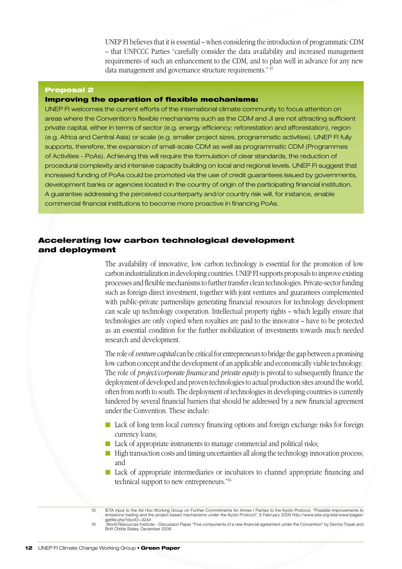UNEP FI believes that it is essential – when considering the introduction of programmatic CDM – that UNFCCC Parties "carefully consider the data availability and increased management requirements of such an enhancement to the CDM, and to plan well in advance for any new data management and governance structure requirements." 15

#### Proposal 2

## Improving the operation of flexible mechanisms:

UNEP FI welcomes the current efforts of the international climate community to focus attention on areas where the Convention's flexible mechanisms such as the CDM and JI are not attracting sufficient private capital, either in terms of sector (e.g. energy efficiency; reforestation and afforestation), region (e.g. Africa and Central Asia) or scale (e.g. smaller project sizes, programmatic activities). UNEP FI fully supports, therefore, the expansion of small-scale CDM as well as programmatic CDM (Programmes of Activities - PoAs). Achieving this will require the formulation of clear standards, the reduction of procedural complexity and intensive capacity building on local and regional levels. UNEP FI suggest that increased funding of PoAs could be promoted via the use of credit guarantees issued by governments, development banks or agencies located in the country of origin of the participating financial institution. A guarantee addressing the perceived counterparty and/or country risk will, for instance, enable commercial financial institutions to become more proactive in financing PoAs.

# Accelerating low carbon technological development and deployment

The availability of innovative, low carbon technology is essential for the promotion of low carbon industrialization in developing countries. UNEP FI supports proposals to improve existing processes and flexible mechanisms to further transfer clean technologies. Private-sector funding such as foreign direct investment, together with joint ventures and guarantees complemented with public-private partnerships generating financial resources for technology development can scale up technology cooperation. Intellectual property rights – which legally ensure that technologies are only copied when royalties are paid to the innovator – have to be protected as an essential condition for the further mobilization of investments towards much needed research and development.

The role of *venture capital* can be critical for entrepreneurs to bridge the gap between a promising low carbon concept and the development of an applicable and economically viable technology. The role of *project/corporate finance* and *private equity* is pivotal to subsequently finance the deployment of developed and proven technologies to actual production sites around the world, often from north to south. The deployment of technologies in developing countries is currently hindered by several financial barriers that should be addressed by a new financial agreement under the Convention. These include:

- Lack of long term local currency financing options and foreign exchange risks for foreign currency loans;
- Lack of appropriate instruments to manage commercial and political risks;
- $\blacksquare$  High transaction costs and timing uncertainties all along the technology innovation process; and
- n Lack of appropriate intermediaries or incubators to channel appropriate financing and technical support to new entrepreneurs."16

16 World Resources Institute – Discussion Paper "Five components of a new financial agreement under the Convention" by Dennis Tirpak and Britt Childs Staley, December 2008

<sup>15</sup> IETA input to the Ad Hoc Working Group on Further Commitments for Annex I Parties to the Kyoto Protocol, "Possible improvements to emissions trading and the project-based mechanisms under the Kyoto Protocol", 6 February 2009 http://www.ieta.org/ieta/www/pages/ getfile.php?docID=3244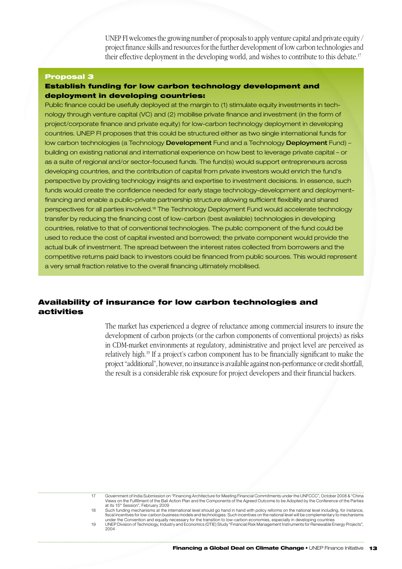UNEP FI welcomes the growing number of proposals to apply venture capital and private equity / project finance skills and resources for the further development of low carbon technologies and their effective deployment in the developing world, and wishes to contribute to this debate.17

#### Proposal 3

## Establish funding for low carbon technology development and deployment in developing countries:

Public finance could be usefully deployed at the margin to (1) stimulate equity investments in technology through venture capital (VC) and (2) mobilise private finance and investment (in the form of project/corporate finance and private equity) for low-carbon technology deployment in developing countries. UNEP FI proposes that this could be structured either as two single international funds for low carbon technologies (a Technology Development Fund and a Technology Deployment Fund) building on existing national and international experience on how best to leverage private capital – or as a suite of regional and/or sector-focused funds. The fund(s) would support entrepreneurs across developing countries, and the contribution of capital from private investors would enrich the fund's perspective by providing technology insights and expertise to investment decisions. In essence, such funds would create the confidence needed for early stage technology-development and deploymentfinancing and enable a public-private partnership structure allowing sufficient flexibility and shared perspectives for all parties involved.18 The Technology Deployment Fund would accelerate technology transfer by reducing the financing cost of low-carbon (best available) technologies in developing countries, relative to that of conventional technologies. The public component of the fund could be used to reduce the cost of capital invested and borrowed; the private component would provide the actual bulk of investment. The spread between the interest rates collected from borrowers and the competitive returns paid back to investors could be financed from public sources. This would represent a very small fraction relative to the overall financing ultimately mobilised.

# Availability of insurance for low carbon technologies and activities

The market has experienced a degree of reluctance among commercial insurers to insure the development of carbon projects (or the carbon components of conventional projects) as risks in CDM-market environments at regulatory, administrative and project level are perceived as relatively high.19 If a project's carbon component has to be financially significant to make the project "additional", however, no insurance is available against non-performance or credit shortfall, the result is a considerable risk exposure for project developers and their financial backers.

|    | Government of India Submission on "Financing Architecture for Meeting Financial Commitments under the UNFCCC", October 2008 & "China<br>Views on the Fulfillment of the Bali Action Plan and the Components of the Agreed Outcome to be Adopted by the Conference of the Parties<br>at its 15 <sup>th</sup> Session", February 2009                                                                                       |
|----|---------------------------------------------------------------------------------------------------------------------------------------------------------------------------------------------------------------------------------------------------------------------------------------------------------------------------------------------------------------------------------------------------------------------------|
| 18 | Such funding mechanisms at the international level should go hand in hand with policy reforms on the national level including, for instance,<br>fiscal incentives for low-carbon business models and technologies. Such incentives on the national level will be complementary to mechanisms<br>under the Convention and equally necessary for the transition to low-carbon economies, especially in developing countries |
| 19 | UNEP Division of Technology, Industry and Economics (DTIE) Study "Financial Risk Management Instruments for Renewable Energy Projects",<br>2004                                                                                                                                                                                                                                                                           |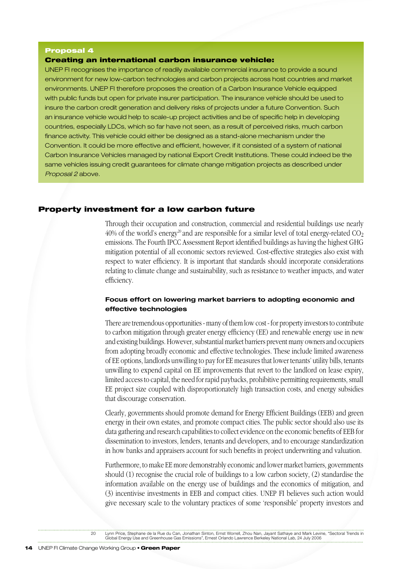#### Proposal 4

#### Creating an international carbon insurance vehicle:

UNEP FI recognises the importance of readily available commercial insurance to provide a sound environment for new low-carbon technologies and carbon projects across host countries and market environments. UNEP FI therefore proposes the creation of a Carbon Insurance Vehicle equipped with public funds but open for private insurer participation. The insurance vehicle should be used to insure the carbon credit generation and delivery risks of projects under a future Convention. Such an insurance vehicle would help to scale-up project activities and be of specific help in developing countries, especially LDCs, which so far have not seen, as a result of perceived risks, much carbon finance activity. This vehicle could either be designed as a stand-alone mechanism under the Convention. It could be more effective and efficient, however, if it consisted of a system of national Carbon Insurance Vehicles managed by national Export Credit Institutions. These could indeed be the same vehicles issuing credit guarantees for climate change mitigation projects as described under *Proposal 2* above.

#### Property investment for a low carbon future

Through their occupation and construction, commercial and residential buildings use nearly 40% of the world's energy<sup>20</sup> and are responsible for a similar level of total energy-related  $CO<sub>2</sub>$ emissions. The Fourth IPCC Assessment Report identified buildings as having the highest GHG mitigation potential of all economic sectors reviewed. Cost-effective strategies also exist with respect to water efficiency. It is important that standards should incorporate considerations relating to climate change and sustainability, such as resistance to weather impacts, and water efficiency.

#### **Focus effort on lowering market barriers to adopting economic and effective technologies**

There are tremendous opportunities - many of them low cost - for property investors to contribute to carbon mitigation through greater energy efficiency (EE) and renewable energy use in new and existing buildings. However, substantial market barriers prevent many owners and occupiers from adopting broadly economic and effective technologies. These include limited awareness of EE options, landlords unwilling to pay for EE measures that lower tenants' utility bills, tenants unwilling to expend capital on EE improvements that revert to the landlord on lease expiry, limited access to capital, the need for rapid paybacks, prohibitive permitting requirements, small EE project size coupled with disproportionately high transaction costs, and energy subsidies that discourage conservation.

Clearly, governments should promote demand for Energy Efficient Buildings (EEB) and green energy in their own estates, and promote compact cities. The public sector should also use its data gathering and research capabilities to collect evidence on the economic benefits of EEB for dissemination to investors, lenders, tenants and developers, and to encourage standardization in how banks and appraisers account for such benefits in project underwriting and valuation.

Furthermore, to make EE more demonstrably economic and lower market barriers, governments should (1) recognise the crucial role of buildings to a low carbon society, (2) standardise the information available on the energy use of buildings and the economics of mitigation, and (3) incentivise investments in EEB and compact cities. UNEP FI believes such action would give necessary scale to the voluntary practices of some 'responsible' property investors and

20 Lynn Price, Stephane de la Rue du Can, Jonathan Sinton, Ernst Worrell, Zhou Nan, Jayant Sathaye and Mark Levine, "Sectoral Trends in Global Energy Use and Greenhouse Gas Emissions", Ernest Orlando Lawrence Berkeley National Lab, 24 July 2006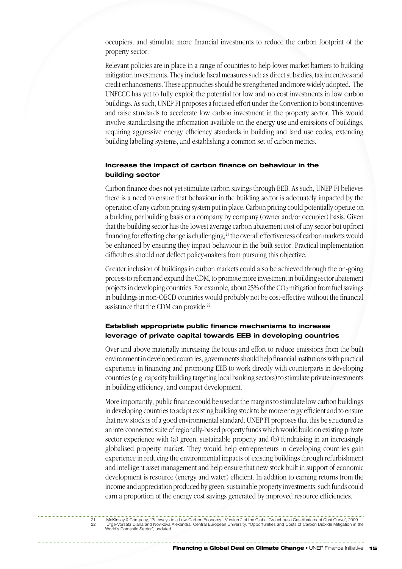occupiers, and stimulate more financial investments to reduce the carbon footprint of the property sector.

Relevant policies are in place in a range of countries to help lower market barriers to building mitigation investments. They include fiscal measures such as direct subsidies, tax incentives and credit enhancements. These approaches should be strengthened and more widely adopted. The UNFCCC has yet to fully exploit the potential for low and no cost investments in low carbon buildings. As such, UNEP FI proposes a focused effort under the Convention to boost incentives and raise standards to accelerate low carbon investment in the property sector. This would involve standardising the information available on the energy use and emissions of buildings, requiring aggressive energy efficiency standards in building and land use codes, extending building labelling systems, and establishing a common set of carbon metrics.

## **Increase the impact of carbon finance on behaviour in the building sector**

Carbon finance does not yet stimulate carbon savings through EEB. As such, UNEP FI believes there is a need to ensure that behaviour in the building sector is adequately impacted by the operation of any carbon pricing system put in place. Carbon pricing could potentially operate on a building per building basis or a company by company (owner and/or occupier) basis. Given that the building sector has the lowest average carbon abatement cost of any sector but upfront financing for effecting change is challenging,<sup>21</sup> the overall effectiveness of carbon markets would be enhanced by ensuring they impact behaviour in the built sector. Practical implementation difficulties should not deflect policy-makers from pursuing this objective.

Greater inclusion of buildings in carbon markets could also be achieved through the on-going process to reform and expand the CDM, to promote more investment in building sector abatement projects in developing countries. For example, about 25% of the  $CO<sub>2</sub>$  mitigation from fuel savings in buildings in non-OECD countries would probably not be cost-effective without the financial assistance that the CDM can provide.<sup>22</sup>

## **Establish appropriate public finance mechanisms to increase leverage of private capital towards EEB in developing countries**

Over and above materially increasing the focus and effort to reduce emissions from the built environment in developed countries, governments should help financial institutions with practical experience in financing and promoting EEB to work directly with counterparts in developing countries (e.g. capacity building targeting local banking sectors) to stimulate private investments in building efficiency, and compact development.

More importantly, public finance could be used at the margins to stimulate low carbon buildings in developing countries to adapt existing building stock to be more energy efficient and to ensure that new stock is of a good environmental standard. UNEP FI proposes that this be structured as an interconnected suite of regionally-based property funds which would build on existing private sector experience with (a) green, sustainable property and (b) fundraising in an increasingly globalised property market. They would help entrepreneurs in developing countries gain experience in reducing the environmental impacts of existing buildings through refurbishment and intelligent asset management and help ensure that new stock built in support of economic development is resource (energy and water) efficient. In addition to earning returns from the income and appreciation produced by green, sustainable property investments, such funds could earn a proportion of the energy cost savings generated by improved resource efficiencies.

<sup>21</sup> McKinsey & Company, "Pathways to a Low-Carbon Economy - Version 2 of the Global Greenhouse Gas Abatement Cost Curve", 2009 22 Ürge-Vorsatz Diana and Novikova Alexandra, Central European University, "Opportunities and Costs of Carbon Dioxide Mitigation in the World's Domestic Sector", undated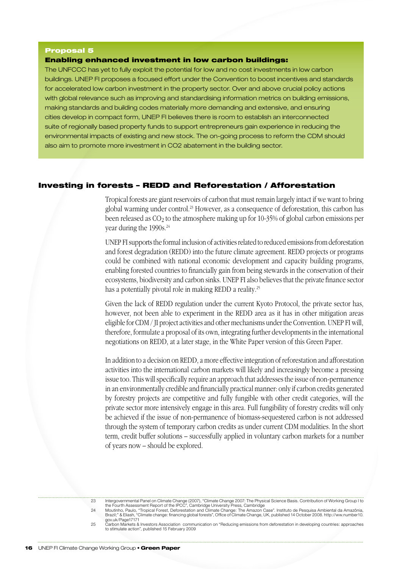#### Proposal 5

#### Enabling enhanced investment in low carbon buildings:

The UNFCCC has yet to fully exploit the potential for low and no cost investments in low carbon buildings. UNEP FI proposes a focused effort under the Convention to boost incentives and standards for accelerated low carbon investment in the property sector. Over and above crucial policy actions with global relevance such as improving and standardising information metrics on building emissions, making standards and building codes materially more demanding and extensive, and ensuring cities develop in compact form, UNEP FI believes there is room to establish an interconnected suite of regionally based property funds to support entrepreneurs gain experience in reducing the environmental impacts of existing and new stock. The on-going process to reform the CDM should also aim to promote more investment in CO2 abatement in the building sector.

## Investing in forests – REDD and Reforestation / Afforestation

Tropical forests are giant reservoirs of carbon that must remain largely intact if we want to bring global warming under control.<sup>23</sup> However, as a consequence of deforestation, this carbon has been released as CO<sub>2</sub> to the atmosphere making up for 10-35% of global carbon emissions per year during the 1990s.<sup>24</sup>

UNEP FI supports the formal inclusion of activities related to reduced emissions from deforestation and forest degradation (REDD) into the future climate agreement. REDD projects or programs could be combined with national economic development and capacity building programs, enabling forested countries to financially gain from being stewards in the conservation of their ecosystems, biodiversity and carbon sinks. UNEP FI also believes that the private finance sector has a potentially pivotal role in making REDD a reality.<sup>25</sup>

Given the lack of REDD regulation under the current Kyoto Protocol, the private sector has, however, not been able to experiment in the REDD area as it has in other mitigation areas eligible for CDM / JI project activities and other mechanisms under the Convention. UNEP FI will, therefore, formulate a proposal of its own, integrating further developments in the international negotiations on REDD, at a later stage, in the White Paper version of this Green Paper.

In addition to a decision on REDD, a more effective integration of reforestation and afforestation activities into the international carbon markets will likely and increasingly become a pressing issue too. This will specifically require an approach that addresses the issue of non-permanence in an environmentally credible and financially practical manner: only if carbon credits generated by forestry projects are competitive and fully fungible with other credit categories, will the private sector more intensively engage in this area. Full fungibility of forestry credits will only be achieved if the issue of non-permanence of biomass-sequestered carbon is not addressed through the system of temporary carbon credits as under current CDM modalities. In the short term, credit buffer solutions – successfully applied in voluntary carbon markets for a number of years now – should be explored.

<sup>23</sup> Intergovernmental Panel on Climate Change (2007), "Climate Change 2007: The Physical Science Basis. Contribution of Working Group I to

the Fourth Assessment Report of the IPCC", Cambridge University Press, Cambridge<br>Moutinho, Paulo, "Tropical Forest, Deforestation and Climate Change: The Amazon Case". Instituto de Pesquisa Ambiental da Amazônia,<br>Brazil;" gov.uk/Page17171

<sup>25</sup> Carbon Markets & Investors Association communication on "Reducing emissions from deforestation in developing countries: approaches to stimulate action", published 15 February 2009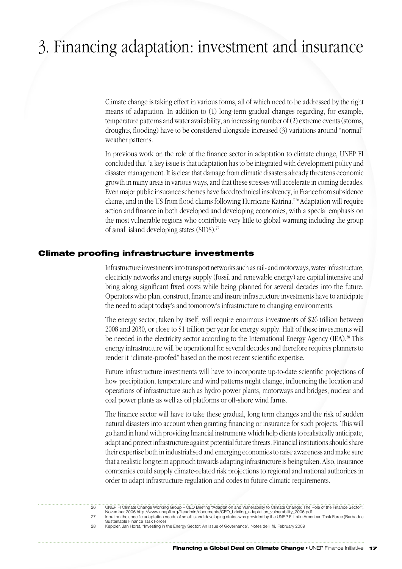# 3. Financing adaptation: investment and insurance

Climate change is taking effect in various forms, all of which need to be addressed by the right means of adaptation. In addition to (1) long-term gradual changes regarding, for example, temperature patterns and water availability, an increasing number of (2) extreme events (storms, droughts, flooding) have to be considered alongside increased (3) variations around "normal" weather patterns.

In previous work on the role of the finance sector in adaptation to climate change, UNEP FI concluded that "a key issue is that adaptation has to be integrated with development policy and disaster management. It is clear that damage from climatic disasters already threatens economic growth in many areas in various ways, and that these stresses will accelerate in coming decades. Even major public insurance schemes have faced technical insolvency, in France from subsidence claims, and in the US from flood claims following Hurricane Katrina."26 Adaptation will require action and finance in both developed and developing economies, with a special emphasis on the most vulnerable regions who contribute very little to global warming including the group of small island developing states (SIDS).27

#### Climate proofing infrastructure investments

Infrastructure investments into transport networks such as rail- and motorways, water infrastructure, electricity networks and energy supply (fossil and renewable energy) are capital intensive and bring along significant fixed costs while being planned for several decades into the future. Operators who plan, construct, finance and insure infrastructure investments have to anticipate the need to adapt today's and tomorrow's infrastructure to changing environments.

The energy sector, taken by itself, will require enormous investments of \$26 trillion between 2008 and 2030, or close to \$1 trillion per year for energy supply. Half of these investments will be needed in the electricity sector according to the International Energy Agency (IEA).<sup>28</sup> This energy infrastructure will be operational for several decades and therefore requires planners to render it "climate-proofed" based on the most recent scientific expertise.

Future infrastructure investments will have to incorporate up-to-date scientific projections of how precipitation, temperature and wind patterns might change, influencing the location and operations of infrastructure such as hydro power plants, motorways and bridges, nuclear and coal power plants as well as oil platforms or off-shore wind farms.

The finance sector will have to take these gradual, long term changes and the risk of sudden natural disasters into account when granting financing or insurance for such projects. This will go hand in hand with providing financial instruments which help clients to realistically anticipate, adapt and protect infrastructure against potential future threats. Financial institutions should share their expertise both in industrialised and emerging economies to raise awareness and make sure that a realistic long term approach towards adapting infrastructure is being taken. Also, insurance companies could supply climate-related risk projections to regional and national authorities in order to adapt infrastructure regulation and codes to future climatic requirements.

<sup>26</sup> UNEP FI Climate Change Working Group – CEO Briefing "Adaptation and Vulnerability to Climate Change: The Role of the Finance Sector",

November 2006 http://www.unepfi.org/fileadmin/documents/CEO\_briefing\_adaptation\_vulnerability\_2006.pdf<br>27 Input on the specific adaptation needs of small island developing states was provided by the UNEP FI Lati

<sup>28</sup> Keppler, Jan Horst, "Investing in the Energy Sector: An Issue of Governance", Notes de l'Ifri, February 2009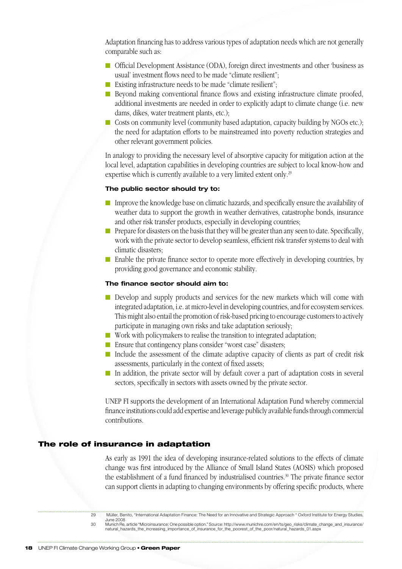Adaptation financing has to address various types of adaptation needs which are not generally comparable such as:

- n Official Development Assistance (ODA), foreign direct investments and other 'business as usual' investment flows need to be made "climate resilient";
- Existing infrastructure needs to be made "climate resilient";
- **n** Beyond making conventional finance flows and existing infrastructure climate proofed, additional investments are needed in order to explicitly adapt to climate change (i.e. new dams, dikes, water treatment plants, etc.);
- Costs on community level (community based adaptation, capacity building by NGOs etc.); the need for adaptation efforts to be mainstreamed into poverty reduction strategies and other relevant government policies.

In analogy to providing the necessary level of absorptive capacity for mitigation action at the local level, adaptation capabilities in developing countries are subject to local know-how and expertise which is currently available to a very limited extent only.<sup>29</sup>

#### **The public sector should try to:**

- n Improve the knowledge base on climatic hazards, and specifically ensure the availability of weather data to support the growth in weather derivatives, catastrophe bonds, insurance and other risk transfer products, especially in developing countries;
- n Prepare for disasters on the basis that they will be greater than any seen to date. Specifically, work with the private sector to develop seamless, efficient risk transfer systems to deal with climatic disasters;
- n Enable the private finance sector to operate more effectively in developing countries, by providing good governance and economic stability.

#### **The finance sector should aim to:**

- n Develop and supply products and services for the new markets which will come with integrated adaptation, i.e. at micro-level in developing countries, and for ecosystem services. This might also entail the promotion of risk-based pricing to encourage customers to actively participate in managing own risks and take adaptation seriously;
- $\blacksquare$  Work with policymakers to realise the transition to integrated adaptation;
- Ensure that contingency plans consider "worst case" disasters;
- n Include the assessment of the climate adaptive capacity of clients as part of credit risk assessments, particularly in the context of fixed assets;
- $\blacksquare$  In addition, the private sector will by default cover a part of adaptation costs in several sectors, specifically in sectors with assets owned by the private sector.

UNEP FI supports the development of an International Adaptation Fund whereby commercial finance institutions could add expertise and leverage publicly available funds through commercial contributions.

#### The role of insurance in adaptation

As early as 1991 the idea of developing insurance-related solutions to the effects of climate change was first introduced by the Alliance of Small Island States (AOSIS) which proposed the establishment of a fund financed by industrialised countries.30 The private finance sector can support clients in adapting to changing environments by offering specific products, where

<sup>29</sup> Müller, Benito, "International Adaptation Finance: The Need for an Innovative and Strategic Approach " Oxford Institute for Energy Studies,

June 2008 00 Munich Re, article "Microinsurance: One possible option." Source: http://www.munichre.com/en/ts/geo\_risks/climate\_change\_and\_insurance<br>http://www.matural\_hazards\_the\_increasing\_importance\_of\_insurance\_for\_the\_poorest\_of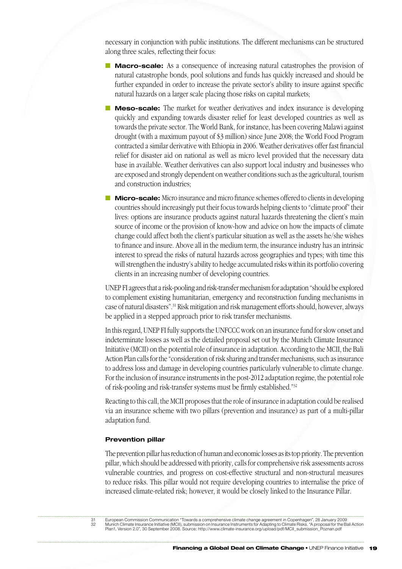necessary in conjunction with public institutions. The different mechanisms can be structured along three scales, reflecting their focus:

- **n Macro-scale:** As a consequence of increasing natural catastrophes the provision of natural catastrophe bonds, pool solutions and funds has quickly increased and should be further expanded in order to increase the private sector's ability to insure against specific natural hazards on a larger scale placing those risks on capital markets;
- **Meso-scale:** The market for weather derivatives and index insurance is developing quickly and expanding towards disaster relief for least developed countries as well as towards the private sector. The World Bank, for instance, has been covering Malawi against drought (with a maximum payout of \$3 million) since June 2008; the World Food Program contracted a similar derivative with Ethiopia in 2006. Weather derivatives offer fast financial relief for disaster aid on national as well as micro level provided that the necessary data base in available. Weather derivatives can also support local industry and businesses who are exposed and strongly dependent on weather conditions such as the agricultural, tourism and construction industries;
- **Micro-scale:** Micro insurance and micro finance schemes offered to clients in developing countries should increasingly put their focus towards helping clients to "climate proof" their lives: options are insurance products against natural hazards threatening the client's main source of income or the provision of know-how and advice on how the impacts of climate change could affect both the client's particular situation as well as the assets he/she wishes to finance and insure. Above all in the medium term, the insurance industry has an intrinsic interest to spread the risks of natural hazards across geographies and types; with time this will strengthen the industry's ability to hedge accumulated risks within its portfolio covering clients in an increasing number of developing countries.

UNEP FI agrees that a risk-pooling and risk-transfer mechanism for adaptation "should be explored to complement existing humanitarian, emergency and reconstruction funding mechanisms in case of natural disasters".31 Risk mitigation and risk management efforts should, however, always be applied in a stepped approach prior to risk transfer mechanisms.

In this regard, UNEP FI fully supports the UNFCCC work on an insurance fund for slow onset and indeterminate losses as well as the detailed proposal set out by the Munich Climate Insurance Initiative (MCII) on the potential role of insurance in adaptation. According to the MCII, the Bali Action Plan calls for the "consideration of risk sharing and transfer mechanisms, such as insurance to address loss and damage in developing countries particularly vulnerable to climate change. For the inclusion of insurance instruments in the post-2012 adaptation regime, the potential role of risk-pooling and risk-transfer systems must be firmly established."32

Reacting to this call, the MCII proposes that the role of insurance in adaptation could be realised via an insurance scheme with two pillars (prevention and insurance) as part of a multi-pillar adaptation fund.

#### **Prevention pillar**

The prevention pillar has reduction of human and economic losses as its top priority. The prevention pillar, which should be addressed with priority, calls for comprehensive risk assessments across vulnerable countries, and progress on cost-effective structural and non-structural measures to reduce risks. This pillar would not require developing countries to internalise the price of increased climate-related risk; however, it would be closely linked to the Insurance Pillar.

31 European Commission Communication "Towards a comprehensive climate change agreement in Copenhagen", 28 January 2009 32 Munich Climate Insurance Initiative (MCII), submission on Insurance Instruments for Adapting to Climate Risks. "A proposal for the Bali Action<br>Plan1, Version 2.0", 30 September 2008. Source: http://www.climate-insurance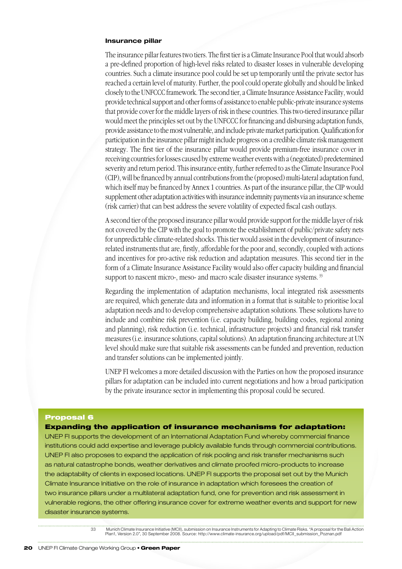#### **Insurance pillar**

The insurance pillar features two tiers. The first tier is a Climate Insurance Pool that would absorb a pre-defined proportion of high-level risks related to disaster losses in vulnerable developing countries. Such a climate insurance pool could be set up temporarily until the private sector has reached a certain level of maturity. Further, the pool could operate globally and should be linked closely to the UNFCCC framework. The second tier, a Climate Insurance Assistance Facility, would provide technical support and other forms of assistance to enable public-private insurance systems that provide cover for the middle layers of risk in these countries. This two-tiered insurance pillar would meet the principles set out by the UNFCCC for financing and disbursing adaptation funds, provide assistance to the most vulnerable, and include private market participation. Qualification for participation in the insurance pillar might include progress on a credible climate risk management strategy. The first tier of the insurance pillar would provide premium-free insurance cover in receiving countries for losses caused by extreme weather events with a (negotiated) predetermined severity and return period. This insurance entity, further referred to as the Climate Insurance Pool (CIP), will be financed by annual contributions from the (proposed) multi-lateral adaptation fund, which itself may be financed by Annex 1 countries. As part of the insurance pillar, the CIP would supplement other adaptation activities with insurance indemnity payments via an insurance scheme (risk carrier) that can best address the severe volatility of expected fiscal cash outlays.

A second tier of the proposed insurance pillar would provide support for the middle layer of risk not covered by the CIP with the goal to promote the establishment of public/private safety nets for unpredictable climate-related shocks. This tier would assist in the development of insurancerelated instruments that are, firstly, affordable for the poor and, secondly, coupled with actions and incentives for pro-active risk reduction and adaptation measures. This second tier in the form of a Climate Insurance Assistance Facility would also offer capacity building and financial support to nascent micro-, meso- and macro scale disaster insurance systems.<sup>33</sup>

Regarding the implementation of adaptation mechanisms, local integrated risk assessments are required, which generate data and information in a format that is suitable to prioritise local adaptation needs and to develop comprehensive adaptation solutions. These solutions have to include and combine risk prevention (i.e. capacity building, building codes, regional zoning and planning), risk reduction (i.e. technical, infrastructure projects) and financial risk transfer measures (i.e. insurance solutions, capital solutions). An adaptation financing architecture at UN level should make sure that suitable risk assessments can be funded and prevention, reduction and transfer solutions can be implemented jointly.

UNEP FI welcomes a more detailed discussion with the Parties on how the proposed insurance pillars for adaptation can be included into current negotiations and how a broad participation by the private insurance sector in implementing this proposal could be secured.

#### Proposal 6

Expanding the application of insurance mechanisms for adaptation:

UNEP FI supports the development of an International Adaptation Fund whereby commercial finance institutions could add expertise and leverage publicly available funds through commercial contributions. UNEP FI also proposes to expand the application of risk pooling and risk transfer mechanisms such as natural catastrophe bonds, weather derivatives and climate proofed micro-products to increase the adaptability of clients in exposed locations. UNEP FI supports the proposal set out by the Munich Climate Insurance Initiative on the role of insurance in adaptation which foresees the creation of two insurance pillars under a multilateral adaptation fund, one for prevention and risk assessment in vulnerable regions, the other offering insurance cover for extreme weather events and support for new disaster insurance systems.

> 33 Munich Climate Insurance Initiative (MCII), submission on Insurance Instruments for Adapting to Climate Risks. "A proposal for the Bali Action Plan1, Version 2.0", 30 September 2008. Source: http://www.climate-insurance.org/upload/pdf/MCII\_submission\_Poznan.pdf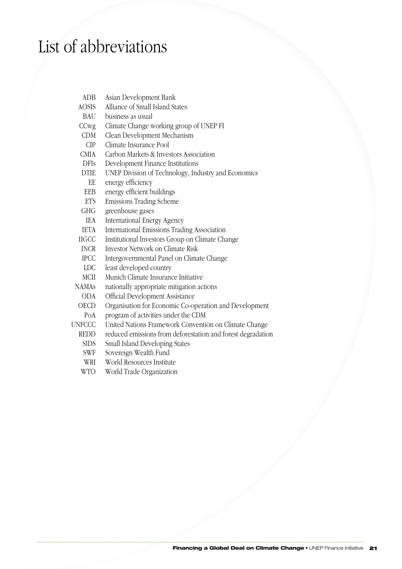# List of abbreviations

ADB Asian Development Bank AOSIS Alliance of Small Island States BAU business as usual CCwg Climate Change working group of UNEP FI CDM Clean Development Mechanism CIP Climate Insurance Pool CMIA Carbon Markets & Investors Association DFIs Development Finance Institutions DTIE UNEP Division of Technology, Industry and Economics EE energy efficiency EEB energy efficient buildings ETS Emissions Trading Scheme GHG greenhouse gases IEA International Energy Agency IETA International Emissions Trading Association IIGCC Institutional Investors Group on Climate Change INCR Investor Network on Climate Risk IPCC Intergovernmental Panel on Climate Change LDC least developed country MCII Munich Climate Insurance Initiative NAMAs nationally appropriate mitigation actions ODA Official Development Assistance OECD Organisation for Economic Co-operation and Development PoA program of activities under the CDM UNFCCC United Nations Framework Convention on Climate Change REDD reduced emissions from deforestation and forest degradation SIDS Small Island Developing States SWF Sovereign Wealth Fund WRI World Resources Institute WTO World Trade Organization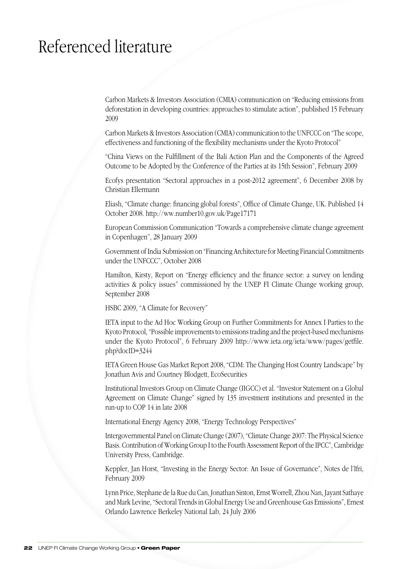# Referenced literature

Carbon Markets & Investors Association (CMIA) communication on "Reducing emissions from deforestation in developing countries: approaches to stimulate action", published 15 February 2009

Carbon Markets & Investors Association (CMIA) communication to the UNFCCC on "The scope, effectiveness and functioning of the flexibility mechanisms under the Kyoto Protocol"

"China Views on the Fulfillment of the Bali Action Plan and the Components of the Agreed Outcome to be Adopted by the Conference of the Parties at its 15th Session", February 2009

Ecofys presentation "Sectoral approaches in a post-2012 agreement", 6 December 2008 by Christian Ellermann

Eliash, "Climate change: financing global forests", Office of Climate Change, UK. Published 14 October 2008. http://ww.number10.gov.uk/Page17171

European Commission Communication "Towards a comprehensive climate change agreement in Copenhagen", 28 January 2009

Government of India Submission on "Financing Architecture for Meeting Financial Commitments under the UNFCCC", October 2008

Hamilton, Kirsty, Report on "Energy efficiency and the finance sector: a survey on lending activities & policy issues" commissioned by the UNEP FI Climate Change working group, September 2008

HSBC 2009, "A Climate for Recovery"

IETA input to the Ad Hoc Working Group on Further Commitments for Annex I Parties to the Kyoto Protocol, "Possible improvements to emissions trading and the project-based mechanisms under the Kyoto Protocol", 6 February 2009 http://www.ieta.org/ieta/www/pages/getfile. php?docID=3244

IETA Green House Gas Market Report 2008, "CDM: The Changing Host Country Landscape" by Jonathan Avis and Courtney Blodgett, EcoSecurities

Institutional Investors Group on Climate Change (IIGCC) et al. "Investor Statement on a Global Agreement on Climate Change" signed by 135 investment institutions and presented in the run-up to COP 14 in late 2008

International Energy Agency 2008, "Energy Technology Perspectives"

Intergovernmental Panel on Climate Change (2007), "Climate Change 2007: The Physical Science Basis. Contribution of Working Group I to the Fourth Assessment Report of the IPCC", Cambridge University Press, Cambridge.

Keppler, Jan Horst, "Investing in the Energy Sector: An Issue of Governance", Notes de l'Ifri, February 2009

Lynn Price, Stephane de la Rue du Can, Jonathan Sinton, Ernst Worrell, Zhou Nan, Jayant Sathaye and Mark Levine, "Sectoral Trends in Global Energy Use and Greenhouse Gas Emissions", Ernest Orlando Lawrence Berkeley National Lab, 24 July 2006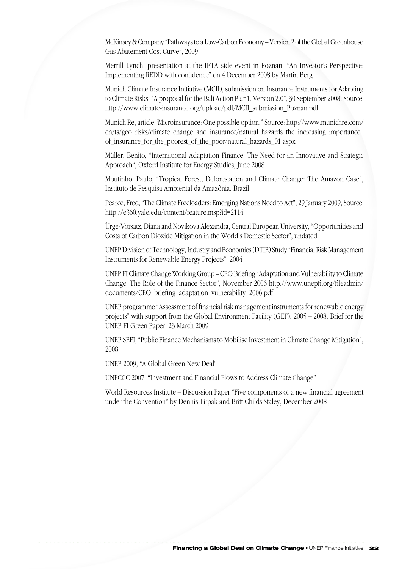McKinsey & Company "Pathways to a Low-Carbon Economy – Version 2 of the Global Greenhouse Gas Abatement Cost Curve", 2009

Merrill Lynch, presentation at the IETA side event in Poznan, "An Investor's Perspective: Implementing REDD with confidence" on 4 December 2008 by Martin Berg

Munich Climate Insurance Initiative (MCII), submission on Insurance Instruments for Adapting to Climate Risks, "A proposal for the Bali Action Plan1, Version 2.0", 30 September 2008. Source: http://www.climate-insurance.org/upload/pdf/MCII\_submission\_Poznan.pdf

Munich Re, article "Microinsurance: One possible option." Source: http://www.munichre.com/ en/ts/geo\_risks/climate\_change\_and\_insurance/natural\_hazards\_the\_increasing\_importance\_ of\_insurance\_for\_the\_poorest\_of\_the\_poor/natural\_hazards\_01.aspx

Müller, Benito, "International Adaptation Finance: The Need for an Innovative and Strategic Approach", Oxford Institute for Energy Studies, June 2008

Moutinho, Paulo, "Tropical Forest, Deforestation and Climate Change: The Amazon Case", Instituto de Pesquisa Ambiental da Amazônia, Brazil

Pearce, Fred, "The Climate Freeloaders: Emerging Nations Need to Act", 29 January 2009, Source: http://e360.yale.edu/content/feature.msp?id=2114

Ürge-Vorsatz, Diana and Novikova Alexandra, Central European University, "Opportunities and Costs of Carbon Dioxide Mitigation in the World's Domestic Sector", undated

UNEP Division of Technology, Industry and Economics (DTIE) Study "Financial Risk Management Instruments for Renewable Energy Projects", 2004

UNEP FI Climate Change Working Group – CEO Briefing "Adaptation and Vulnerability to Climate Change: The Role of the Finance Sector", November 2006 http://www.unepfi.org/fileadmin/ documents/CEO\_briefing\_adaptation\_vulnerability\_2006.pdf

UNEP programme "Assessment of financial risk management instruments for renewable energy projects" with support from the Global Environment Facility (GEF), 2005 – 2008. Brief for the UNEP FI Green Paper, 23 March 2009

UNEP SEFI, "Public Finance Mechanisms to Mobilise Investment in Climate Change Mitigation", 2008

UNEP 2009, "A Global Green New Deal"

UNFCCC 2007, "Investment and Financial Flows to Address Climate Change"

World Resources Institute – Discussion Paper "Five components of a new financial agreement under the Convention" by Dennis Tirpak and Britt Childs Staley, December 2008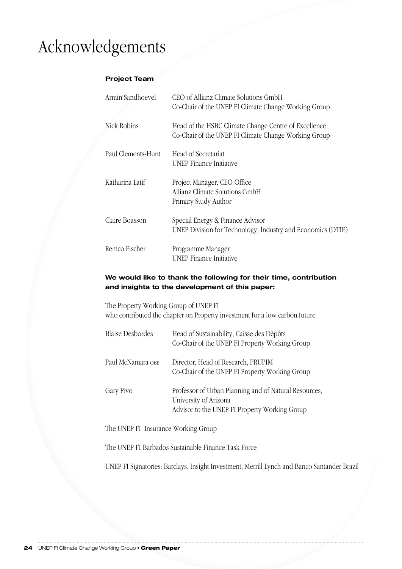# Acknowledgements

# **Project Team**

| Armin Sandhoevel   | CEO of Allianz Climate Solutions GmbH<br>Co-Chair of the UNEP FI Climate Change Working Group                |
|--------------------|--------------------------------------------------------------------------------------------------------------|
| Nick Robins        | Head of the HSBC Climate Change Centre of Excellence<br>Co-Chair of the UNEP FI Climate Change Working Group |
| Paul Clements-Hunt | Head of Secretariat<br>UNEP Finance Initiative                                                               |
| Katharina Latif    | Project Manager, CEO Office<br>Allianz Climate Solutions GmbH<br>Primary Study Author                        |
| Claire Boasson     | Special Energy & Finance Advisor<br>UNEP Division for Technology, Industry and Economics (DTIE)              |
| Remco Fischer      | Programme Manager<br>UNEP Finance Initiative                                                                 |

# **We would like to thank the following for their time, contribution and insights to the development of this paper:**

The Property Working Group of UNEP FI who contributed the chapter on Property investment for a low carbon future

| <b>Blaise Desbordes</b> | Head of Sustainability, Caisse des Dépôts<br>Co-Chair of the UNEP FI Property Working Group                                     |
|-------------------------|---------------------------------------------------------------------------------------------------------------------------------|
| Paul McNamara OBE       | Director, Head of Research, PRUPIM<br>Co-Chair of the UNEP FI Property Working Group                                            |
| Gary Pivo               | Professor of Urban Planning and of Natural Resources,<br>University of Arizona<br>Advisor to the UNEP FI Property Working Group |

The UNEP FI Insurance Working Group

The UNEP FI Barbados Sustainable Finance Task Force

UNEP FI Signatories: Barclays, Insight Investment, Merrill Lynch and Banco Santander Brazil